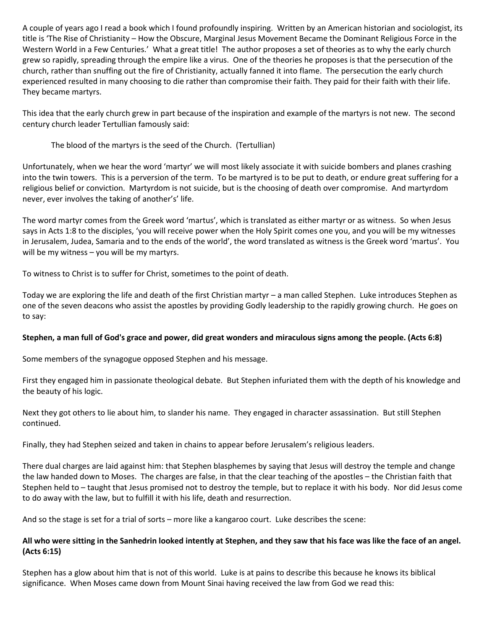A couple of years ago I read a book which I found profoundly inspiring. Written by an American historian and sociologist, its title is 'The Rise of Christianity – How the Obscure, Marginal Jesus Movement Became the Dominant Religious Force in the Western World in a Few Centuries.' What a great title! The author proposes a set of theories as to why the early church grew so rapidly, spreading through the empire like a virus. One of the theories he proposes is that the persecution of the church, rather than snuffing out the fire of Christianity, actually fanned it into flame. The persecution the early church experienced resulted in many choosing to die rather than compromise their faith. They paid for their faith with their life. They became martyrs.

This idea that the early church grew in part because of the inspiration and example of the martyrs is not new. The second century church leader Tertullian famously said:

# The blood of the martyrs is the seed of the Church. (Tertullian)

Unfortunately, when we hear the word 'martyr' we will most likely associate it with suicide bombers and planes crashing into the twin towers. This is a perversion of the term. To be martyred is to be put to death, or endure great suffering for a religious belief or conviction. Martyrdom is not suicide, but is the choosing of death over compromise. And martyrdom never, ever involves the taking of another's' life.

The word martyr comes from the Greek word 'martus', which is translated as either martyr or as witness. So when Jesus says in Acts 1:8 to the disciples, 'you will receive power when the Holy Spirit comes one you, and you will be my witnesses in Jerusalem, Judea, Samaria and to the ends of the world', the word translated as witness is the Greek word 'martus'. You will be my witness – you will be my martyrs.

To witness to Christ is to suffer for Christ, sometimes to the point of death.

Today we are exploring the life and death of the first Christian martyr – a man called Stephen. Luke introduces Stephen as one of the seven deacons who assist the apostles by providing Godly leadership to the rapidly growing church. He goes on to say:

#### **Stephen, a man full of God's grace and power, did great wonders and miraculous signs among the people. (Acts 6:8)**

Some members of the synagogue opposed Stephen and his message.

First they engaged him in passionate theological debate. But Stephen infuriated them with the depth of his knowledge and the beauty of his logic.

Next they got others to lie about him, to slander his name. They engaged in character assassination. But still Stephen continued.

Finally, they had Stephen seized and taken in chains to appear before Jerusalem's religious leaders.

There dual charges are laid against him: that Stephen blasphemes by saying that Jesus will destroy the temple and change the law handed down to Moses. The charges are false, in that the clear teaching of the apostles – the Christian faith that Stephen held to – taught that Jesus promised not to destroy the temple, but to replace it with his body. Nor did Jesus come to do away with the law, but to fulfill it with his life, death and resurrection.

And so the stage is set for a trial of sorts – more like a kangaroo court. Luke describes the scene:

## **All who were sitting in the Sanhedrin looked intently at Stephen, and they saw that his face was like the face of an angel. (Acts 6:15)**

Stephen has a glow about him that is not of this world. Luke is at pains to describe this because he knows its biblical significance. When Moses came down from Mount Sinai having received the law from God we read this: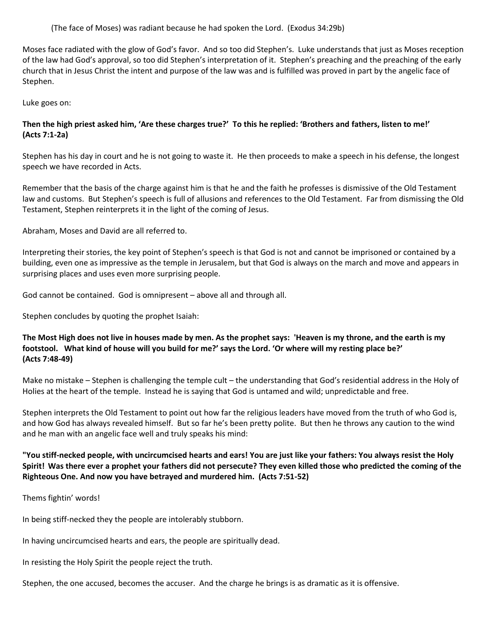(The face of Moses) was radiant because he had spoken the Lord. (Exodus 34:29b)

Moses face radiated with the glow of God's favor. And so too did Stephen's. Luke understands that just as Moses reception of the law had God's approval, so too did Stephen's interpretation of it. Stephen's preaching and the preaching of the early church that in Jesus Christ the intent and purpose of the law was and is fulfilled was proved in part by the angelic face of Stephen.

Luke goes on:

# **Then the high priest asked him, 'Are these charges true?' To this he replied: 'Brothers and fathers, listen to me!' (Acts 7:1-2a)**

Stephen has his day in court and he is not going to waste it. He then proceeds to make a speech in his defense, the longest speech we have recorded in Acts.

Remember that the basis of the charge against him is that he and the faith he professes is dismissive of the Old Testament law and customs. But Stephen's speech is full of allusions and references to the Old Testament. Far from dismissing the Old Testament, Stephen reinterprets it in the light of the coming of Jesus.

Abraham, Moses and David are all referred to.

Interpreting their stories, the key point of Stephen's speech is that God is not and cannot be imprisoned or contained by a building, even one as impressive as the temple in Jerusalem, but that God is always on the march and move and appears in surprising places and uses even more surprising people.

God cannot be contained. God is omnipresent – above all and through all.

Stephen concludes by quoting the prophet Isaiah:

**The Most High does not live in houses made by men. As the prophet says: 'Heaven is my throne, and the earth is my footstool. What kind of house will you build for me?' says the Lord. 'Or where will my resting place be?' (Acts 7:48-49)**

Make no mistake – Stephen is challenging the temple cult – the understanding that God's residential address in the Holy of Holies at the heart of the temple. Instead he is saying that God is untamed and wild; unpredictable and free.

Stephen interprets the Old Testament to point out how far the religious leaders have moved from the truth of who God is, and how God has always revealed himself. But so far he's been pretty polite. But then he throws any caution to the wind and he man with an angelic face well and truly speaks his mind:

**"You stiff-necked people, with uncircumcised hearts and ears! You are just like your fathers: You always resist the Holy Spirit! Was there ever a prophet your fathers did not persecute? They even killed those who predicted the coming of the Righteous One. And now you have betrayed and murdered him. (Acts 7:51-52)**

Thems fightin' words!

In being stiff-necked they the people are intolerably stubborn.

In having uncircumcised hearts and ears, the people are spiritually dead.

In resisting the Holy Spirit the people reject the truth.

Stephen, the one accused, becomes the accuser. And the charge he brings is as dramatic as it is offensive.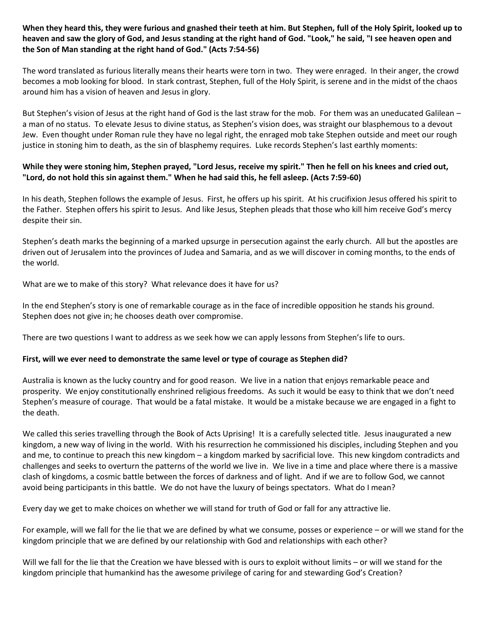## **When they heard this, they were furious and gnashed their teeth at him. But Stephen, full of the Holy Spirit, looked up to heaven and saw the glory of God, and Jesus standing at the right hand of God. "Look," he said, "I see heaven open and the Son of Man standing at the right hand of God." (Acts 7:54-56)**

The word translated as furious literally means their hearts were torn in two. They were enraged. In their anger, the crowd becomes a mob looking for blood. In stark contrast, Stephen, full of the Holy Spirit, is serene and in the midst of the chaos around him has a vision of heaven and Jesus in glory.

But Stephen's vision of Jesus at the right hand of God is the last straw for the mob. For them was an uneducated Galilean – a man of no status. To elevate Jesus to divine status, as Stephen's vision does, was straight our blasphemous to a devout Jew. Even thought under Roman rule they have no legal right, the enraged mob take Stephen outside and meet our rough justice in stoning him to death, as the sin of blasphemy requires. Luke records Stephen's last earthly moments:

## **While they were stoning him, Stephen prayed, "Lord Jesus, receive my spirit." Then he fell on his knees and cried out, "Lord, do not hold this sin against them." When he had said this, he fell asleep. (Acts 7:59-60)**

In his death, Stephen follows the example of Jesus. First, he offers up his spirit. At his crucifixion Jesus offered his spirit to the Father. Stephen offers his spirit to Jesus. And like Jesus, Stephen pleads that those who kill him receive God's mercy despite their sin.

Stephen's death marks the beginning of a marked upsurge in persecution against the early church. All but the apostles are driven out of Jerusalem into the provinces of Judea and Samaria, and as we will discover in coming months, to the ends of the world.

What are we to make of this story? What relevance does it have for us?

In the end Stephen's story is one of remarkable courage as in the face of incredible opposition he stands his ground. Stephen does not give in; he chooses death over compromise.

There are two questions I want to address as we seek how we can apply lessons from Stephen's life to ours.

#### **First, will we ever need to demonstrate the same level or type of courage as Stephen did?**

Australia is known as the lucky country and for good reason. We live in a nation that enjoys remarkable peace and prosperity. We enjoy constitutionally enshrined religious freedoms. As such it would be easy to think that we don't need Stephen's measure of courage. That would be a fatal mistake. It would be a mistake because we are engaged in a fight to the death.

We called this series travelling through the Book of Acts Uprising! It is a carefully selected title. Jesus inaugurated a new kingdom, a new way of living in the world. With his resurrection he commissioned his disciples, including Stephen and you and me, to continue to preach this new kingdom – a kingdom marked by sacrificial love. This new kingdom contradicts and challenges and seeks to overturn the patterns of the world we live in. We live in a time and place where there is a massive clash of kingdoms, a cosmic battle between the forces of darkness and of light. And if we are to follow God, we cannot avoid being participants in this battle. We do not have the luxury of beings spectators. What do I mean?

Every day we get to make choices on whether we will stand for truth of God or fall for any attractive lie.

For example, will we fall for the lie that we are defined by what we consume, posses or experience – or will we stand for the kingdom principle that we are defined by our relationship with God and relationships with each other?

Will we fall for the lie that the Creation we have blessed with is ours to exploit without limits – or will we stand for the kingdom principle that humankind has the awesome privilege of caring for and stewarding God's Creation?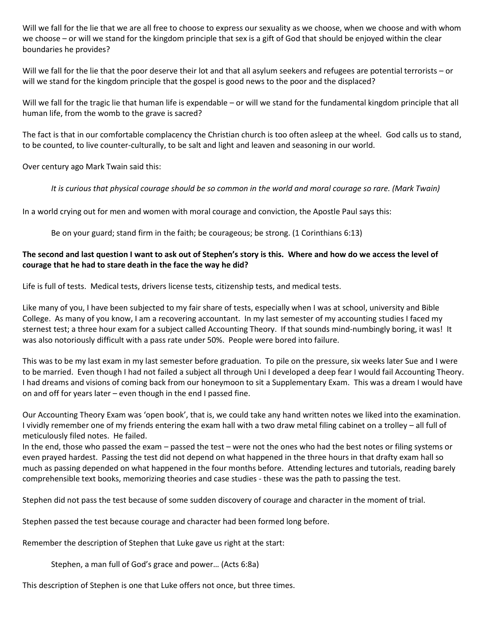Will we fall for the lie that we are all free to choose to express our sexuality as we choose, when we choose and with whom we choose – or will we stand for the kingdom principle that sex is a gift of God that should be enjoyed within the clear boundaries he provides?

Will we fall for the lie that the poor deserve their lot and that all asylum seekers and refugees are potential terrorists – or will we stand for the kingdom principle that the gospel is good news to the poor and the displaced?

Will we fall for the tragic lie that human life is expendable – or will we stand for the fundamental kingdom principle that all human life, from the womb to the grave is sacred?

The fact is that in our comfortable complacency the Christian church is too often asleep at the wheel. God calls us to stand, to be counted, to live counter-culturally, to be salt and light and leaven and seasoning in our world.

Over century ago Mark Twain said this:

*It is curious that physical courage should be so common in the world and moral courage so rare. (Mark Twain)*

In a world crying out for men and women with moral courage and conviction, the Apostle Paul says this:

Be on your guard; stand firm in the faith; be courageous; be strong. (1 Corinthians 6:13)

### **The second and last question I want to ask out of Stephen's story is this. Where and how do we access the level of courage that he had to stare death in the face the way he did?**

Life is full of tests. Medical tests, drivers license tests, citizenship tests, and medical tests.

Like many of you, I have been subjected to my fair share of tests, especially when I was at school, university and Bible College. As many of you know, I am a recovering accountant. In my last semester of my accounting studies I faced my sternest test; a three hour exam for a subject called Accounting Theory. If that sounds mind-numbingly boring, it was! It was also notoriously difficult with a pass rate under 50%. People were bored into failure.

This was to be my last exam in my last semester before graduation. To pile on the pressure, six weeks later Sue and I were to be married. Even though I had not failed a subject all through Uni I developed a deep fear I would fail Accounting Theory. I had dreams and visions of coming back from our honeymoon to sit a Supplementary Exam. This was a dream I would have on and off for years later – even though in the end I passed fine.

Our Accounting Theory Exam was 'open book', that is, we could take any hand written notes we liked into the examination. I vividly remember one of my friends entering the exam hall with a two draw metal filing cabinet on a trolley – all full of meticulously filed notes. He failed.

In the end, those who passed the exam – passed the test – were not the ones who had the best notes or filing systems or even prayed hardest. Passing the test did not depend on what happened in the three hours in that drafty exam hall so much as passing depended on what happened in the four months before. Attending lectures and tutorials, reading barely comprehensible text books, memorizing theories and case studies - these was the path to passing the test.

Stephen did not pass the test because of some sudden discovery of courage and character in the moment of trial.

Stephen passed the test because courage and character had been formed long before.

Remember the description of Stephen that Luke gave us right at the start:

Stephen, a man full of God's grace and power… (Acts 6:8a)

This description of Stephen is one that Luke offers not once, but three times.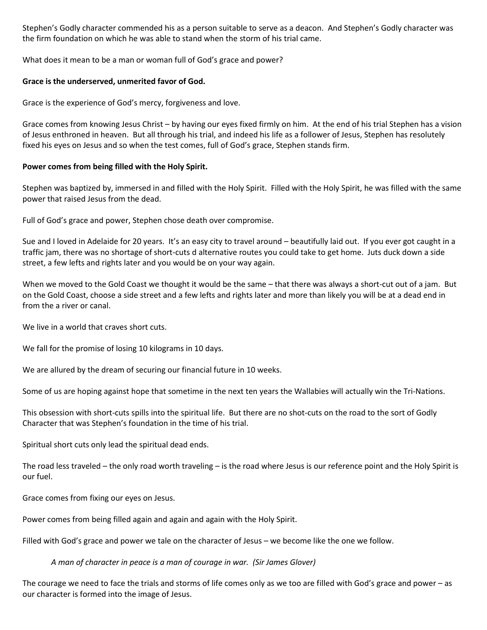Stephen's Godly character commended his as a person suitable to serve as a deacon. And Stephen's Godly character was the firm foundation on which he was able to stand when the storm of his trial came.

What does it mean to be a man or woman full of God's grace and power?

### **Grace is the underserved, unmerited favor of God.**

Grace is the experience of God's mercy, forgiveness and love.

Grace comes from knowing Jesus Christ – by having our eyes fixed firmly on him. At the end of his trial Stephen has a vision of Jesus enthroned in heaven. But all through his trial, and indeed his life as a follower of Jesus, Stephen has resolutely fixed his eyes on Jesus and so when the test comes, full of God's grace, Stephen stands firm.

## **Power comes from being filled with the Holy Spirit.**

Stephen was baptized by, immersed in and filled with the Holy Spirit. Filled with the Holy Spirit, he was filled with the same power that raised Jesus from the dead.

Full of God's grace and power, Stephen chose death over compromise.

Sue and I loved in Adelaide for 20 years. It's an easy city to travel around – beautifully laid out. If you ever got caught in a traffic jam, there was no shortage of short-cuts d alternative routes you could take to get home. Juts duck down a side street, a few lefts and rights later and you would be on your way again.

When we moved to the Gold Coast we thought it would be the same – that there was always a short-cut out of a jam. But on the Gold Coast, choose a side street and a few lefts and rights later and more than likely you will be at a dead end in from the a river or canal.

We live in a world that craves short cuts.

We fall for the promise of losing 10 kilograms in 10 days.

We are allured by the dream of securing our financial future in 10 weeks.

Some of us are hoping against hope that sometime in the next ten years the Wallabies will actually win the Tri-Nations.

This obsession with short-cuts spills into the spiritual life. But there are no shot-cuts on the road to the sort of Godly Character that was Stephen's foundation in the time of his trial.

Spiritual short cuts only lead the spiritual dead ends.

The road less traveled – the only road worth traveling – is the road where Jesus is our reference point and the Holy Spirit is our fuel.

Grace comes from fixing our eyes on Jesus.

Power comes from being filled again and again and again with the Holy Spirit.

Filled with God's grace and power we tale on the character of Jesus – we become like the one we follow.

*A man of character in peace is a man of courage in war. (Sir James Glover)*

The courage we need to face the trials and storms of life comes only as we too are filled with God's grace and power – as our character is formed into the image of Jesus.